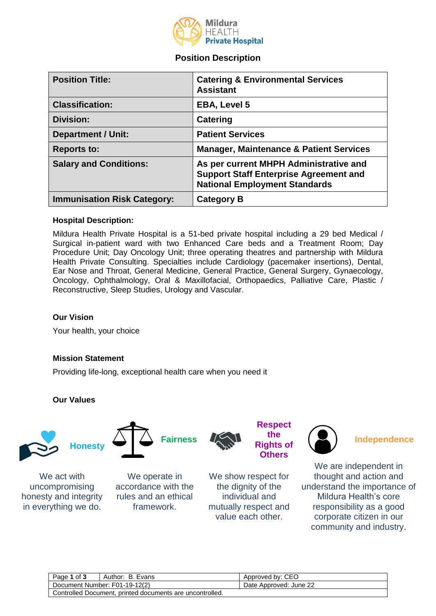

# **Position Description**

| <b>Position Title:</b>             | <b>Catering &amp; Environmental Services</b><br><b>Assistant</b>                                                                |
|------------------------------------|---------------------------------------------------------------------------------------------------------------------------------|
| <b>Classification:</b>             | <b>EBA, Level 5</b>                                                                                                             |
| <b>Division:</b>                   | Catering                                                                                                                        |
| <b>Department / Unit:</b>          | <b>Patient Services</b>                                                                                                         |
| <b>Reports to:</b>                 | <b>Manager, Maintenance &amp; Patient Services</b>                                                                              |
| <b>Salary and Conditions:</b>      | As per current MHPH Administrative and<br><b>Support Staff Enterprise Agreement and</b><br><b>National Employment Standards</b> |
| <b>Immunisation Risk Category:</b> | <b>Category B</b>                                                                                                               |

#### **Hospital Description:**

Mildura Health Private Hospital is a 51-bed private hospital including a 29 bed Medical / Surgical in-patient ward with two Enhanced Care beds and a Treatment Room; Day Procedure Unit; Day Oncology Unit; three operating theatres and partnership with Mildura Health Private Consulting. Specialties include Cardiology (pacemaker insertions), Dental, Ear Nose and Throat, General Medicine, General Practice, General Surgery, Gynaecology, Oncology, Ophthalmology, Oral & Maxillofacial, Orthopaedics, Palliative Care, Plastic / Reconstructive, Sleep Studies, Urology and Vascular.

### **Our Vision**

Your health, your choice

### **Mission Statement**

Providing life-long, exceptional health care when you need it

### **Our Values**





We act with uncompromising honesty and integrity in everything we do.

We operate in accordance with the rules and an ethical framework.



**Respect the Rights of Others**

We show respect for the dignity of the individual and mutually respect and value each other.



# **Independence**

We are independent in thought and action and understand the importance of Mildura Health's core responsibility as a good corporate citizen in our community and industry.

| Page 1 of 3                                              | Author: B. Evans | Approved by: CEO       |  |
|----------------------------------------------------------|------------------|------------------------|--|
| Document Number: F01-19-12(2)                            |                  | Date Approved: June 22 |  |
| Controlled Document, printed documents are uncontrolled. |                  |                        |  |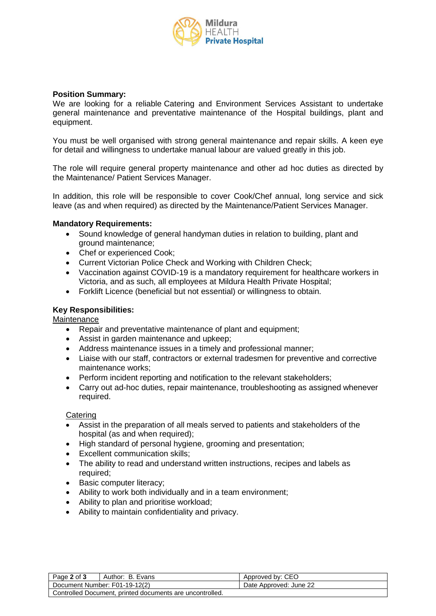

#### **Position Summary:**

We are looking for a reliable Catering and Environment Services Assistant to undertake general maintenance and preventative maintenance of the Hospital buildings, plant and equipment.

You must be well organised with strong general maintenance and repair skills. A keen eye for detail and willingness to undertake manual labour are valued greatly in this job.

The role will require general property maintenance and other ad hoc duties as directed by the Maintenance/ Patient Services Manager.

In addition, this role will be responsible to cover Cook/Chef annual, long service and sick leave (as and when required) as directed by the Maintenance/Patient Services Manager.

#### **Mandatory Requirements:**

- Sound knowledge of general handyman duties in relation to building, plant and ground maintenance;
- Chef or experienced Cook;
- Current Victorian Police Check and Working with Children Check;
- Vaccination against COVID-19 is a mandatory requirement for healthcare workers in Victoria, and as such, all employees at Mildura Health Private Hospital;
- Forklift Licence (beneficial but not essential) or willingness to obtain.

#### **Key Responsibilities:**

**Maintenance** 

- Repair and preventative maintenance of plant and equipment;
- Assist in garden maintenance and upkeep;
- Address maintenance issues in a timely and professional manner;
- Liaise with our staff, contractors or external tradesmen for preventive and corrective maintenance works;
- Perform incident reporting and notification to the relevant stakeholders;
- Carry out ad-hoc duties, repair maintenance, troubleshooting as assigned whenever required.

**Catering** 

- Assist in the preparation of all meals served to patients and stakeholders of the hospital (as and when required);
- High standard of personal hygiene, grooming and presentation;
- Excellent communication skills;
- The ability to read and understand written instructions, recipes and labels as required;
- Basic computer literacy;
- Ability to work both individually and in a team environment;
- Ability to plan and prioritise workload;
- Ability to maintain confidentiality and privacy.

| Page 2 of 3                                              | Author: B. Evans              | Approved by: CEO       |
|----------------------------------------------------------|-------------------------------|------------------------|
|                                                          | Document Number: F01-19-12(2) | Date Approved: June 22 |
| Controlled Document, printed documents are uncontrolled. |                               |                        |